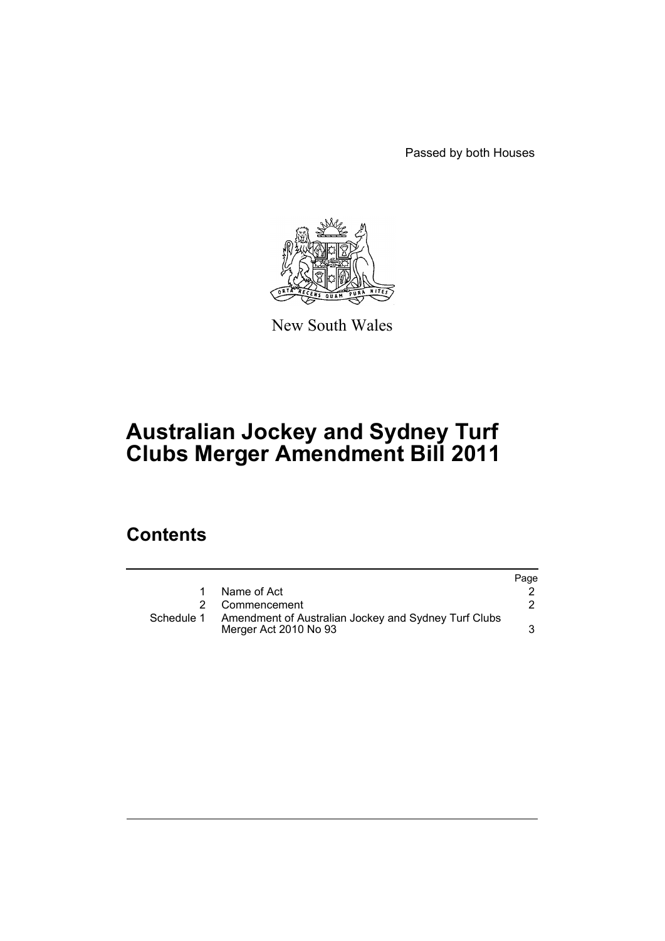Passed by both Houses



New South Wales

# **Australian Jockey and Sydney Turf Clubs Merger Amendment Bill 2011**

# **Contents**

|            |                                                                               | Page |
|------------|-------------------------------------------------------------------------------|------|
|            | Name of Act                                                                   |      |
|            | Commencement                                                                  |      |
| Schedule 1 | Amendment of Australian Jockey and Sydney Turf Clubs<br>Merger Act 2010 No 93 |      |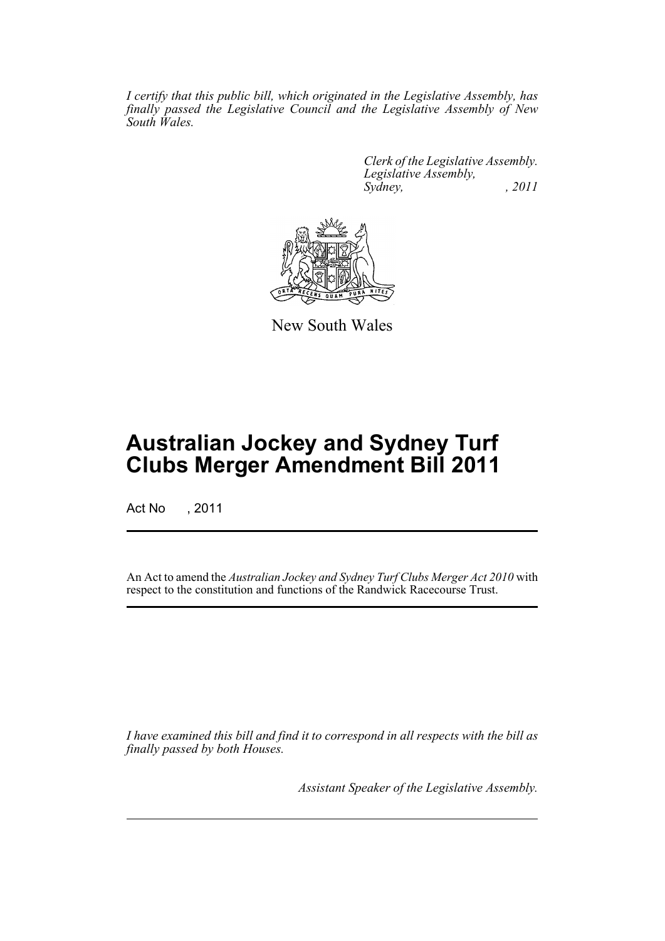*I certify that this public bill, which originated in the Legislative Assembly, has finally passed the Legislative Council and the Legislative Assembly of New South Wales.*

> *Clerk of the Legislative Assembly. Legislative Assembly, Sydney, , 2011*



New South Wales

# **Australian Jockey and Sydney Turf Clubs Merger Amendment Bill 2011**

Act No , 2011

An Act to amend the *Australian Jockey and Sydney Turf Clubs Merger Act 2010* with respect to the constitution and functions of the Randwick Racecourse Trust.

*I have examined this bill and find it to correspond in all respects with the bill as finally passed by both Houses.*

*Assistant Speaker of the Legislative Assembly.*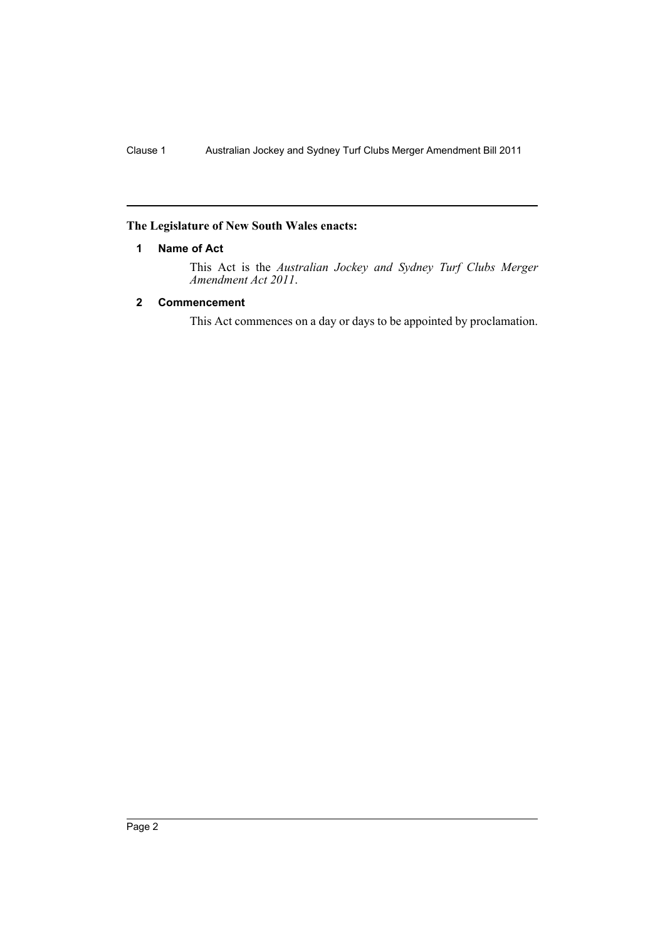# <span id="page-2-0"></span>**The Legislature of New South Wales enacts:**

## **1 Name of Act**

This Act is the *Australian Jockey and Sydney Turf Clubs Merger Amendment Act 2011*.

# <span id="page-2-1"></span>**2 Commencement**

This Act commences on a day or days to be appointed by proclamation.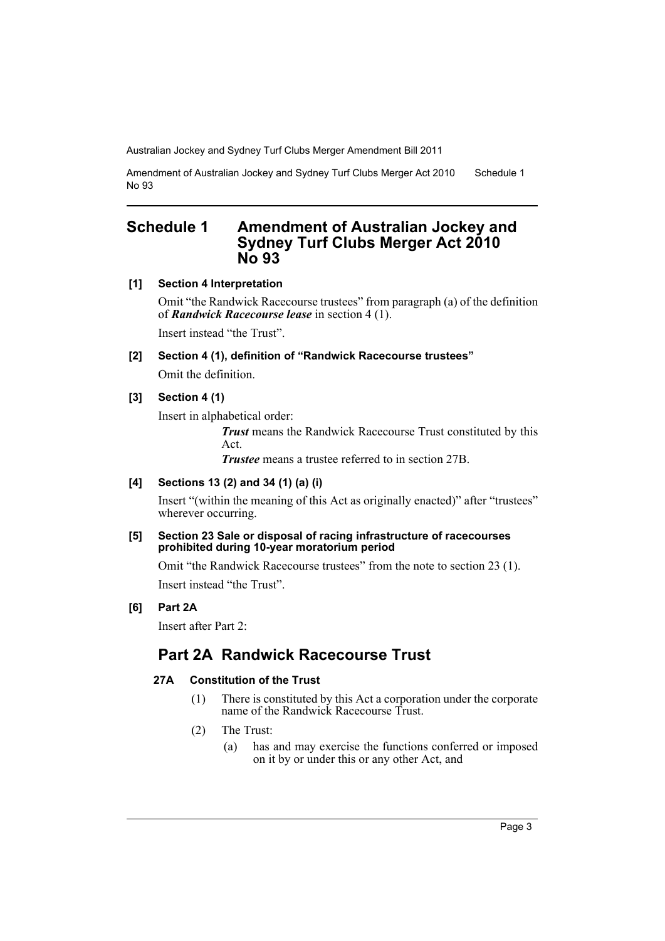Amendment of Australian Jockey and Sydney Turf Clubs Merger Act 2010 No 93 Schedule 1

# <span id="page-3-0"></span>**Schedule 1 Amendment of Australian Jockey and Sydney Turf Clubs Merger Act 2010 No 93**

**[1] Section 4 Interpretation**

Omit "the Randwick Racecourse trustees" from paragraph (a) of the definition of *Randwick Racecourse lease* in section 4 (1).

Insert instead "the Trust".

**[2] Section 4 (1), definition of "Randwick Racecourse trustees"** Omit the definition.

# **[3] Section 4 (1)**

Insert in alphabetical order:

*Trust* means the Randwick Racecourse Trust constituted by this Act.

*Trustee* means a trustee referred to in section 27B.

# **[4] Sections 13 (2) and 34 (1) (a) (i)**

Insert "(within the meaning of this Act as originally enacted)" after "trustees" wherever occurring.

#### **[5] Section 23 Sale or disposal of racing infrastructure of racecourses prohibited during 10-year moratorium period**

Omit "the Randwick Racecourse trustees" from the note to section 23 (1). Insert instead "the Trust".

# **[6] Part 2A**

Insert after Part 2:

# **Part 2A Randwick Racecourse Trust**

# **27A Constitution of the Trust**

- (1) There is constituted by this Act a corporation under the corporate name of the Randwick Racecourse Trust.
- (2) The Trust:
	- (a) has and may exercise the functions conferred or imposed on it by or under this or any other Act, and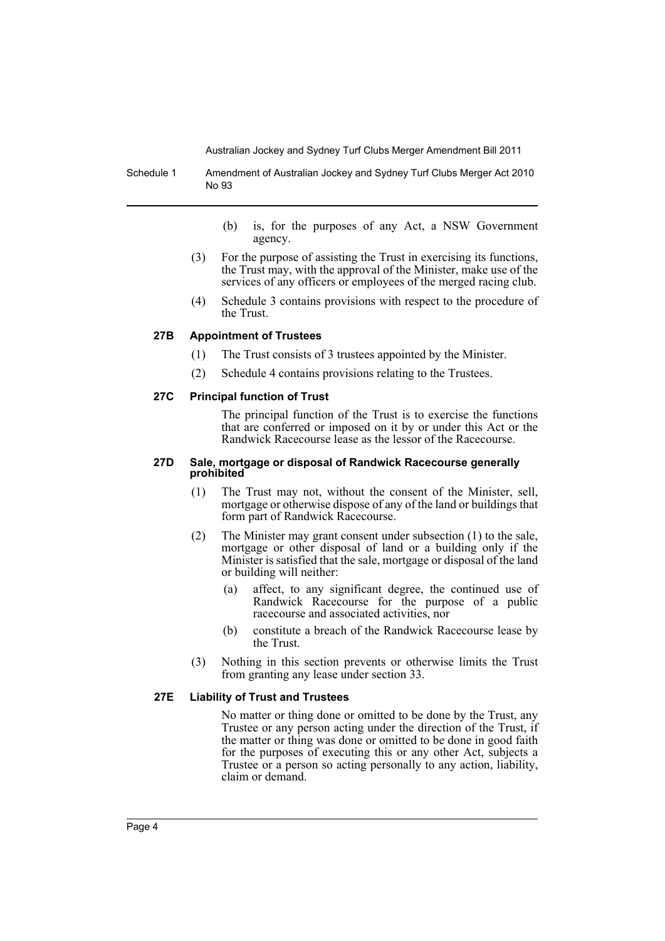Schedule 1 Amendment of Australian Jockey and Sydney Turf Clubs Merger Act 2010 No 93

- (b) is, for the purposes of any Act, a NSW Government agency.
- (3) For the purpose of assisting the Trust in exercising its functions, the Trust may, with the approval of the Minister, make use of the services of any officers or employees of the merged racing club.
- (4) Schedule 3 contains provisions with respect to the procedure of the Trust.

## **27B Appointment of Trustees**

- (1) The Trust consists of 3 trustees appointed by the Minister.
- (2) Schedule 4 contains provisions relating to the Trustees.

## **27C Principal function of Trust**

The principal function of the Trust is to exercise the functions that are conferred or imposed on it by or under this Act or the Randwick Racecourse lease as the lessor of the Racecourse.

#### **27D Sale, mortgage or disposal of Randwick Racecourse generally prohibited**

- (1) The Trust may not, without the consent of the Minister, sell, mortgage or otherwise dispose of any of the land or buildings that form part of Randwick Racecourse.
- (2) The Minister may grant consent under subsection (1) to the sale, mortgage or other disposal of land or a building only if the Minister is satisfied that the sale, mortgage or disposal of the land or building will neither:
	- (a) affect, to any significant degree, the continued use of Randwick Racecourse for the purpose of a public racecourse and associated activities, nor
	- (b) constitute a breach of the Randwick Racecourse lease by the Trust.
- (3) Nothing in this section prevents or otherwise limits the Trust from granting any lease under section 33.

#### **27E Liability of Trust and Trustees**

No matter or thing done or omitted to be done by the Trust, any Trustee or any person acting under the direction of the Trust, if the matter or thing was done or omitted to be done in good faith for the purposes of executing this or any other Act, subjects a Trustee or a person so acting personally to any action, liability, claim or demand.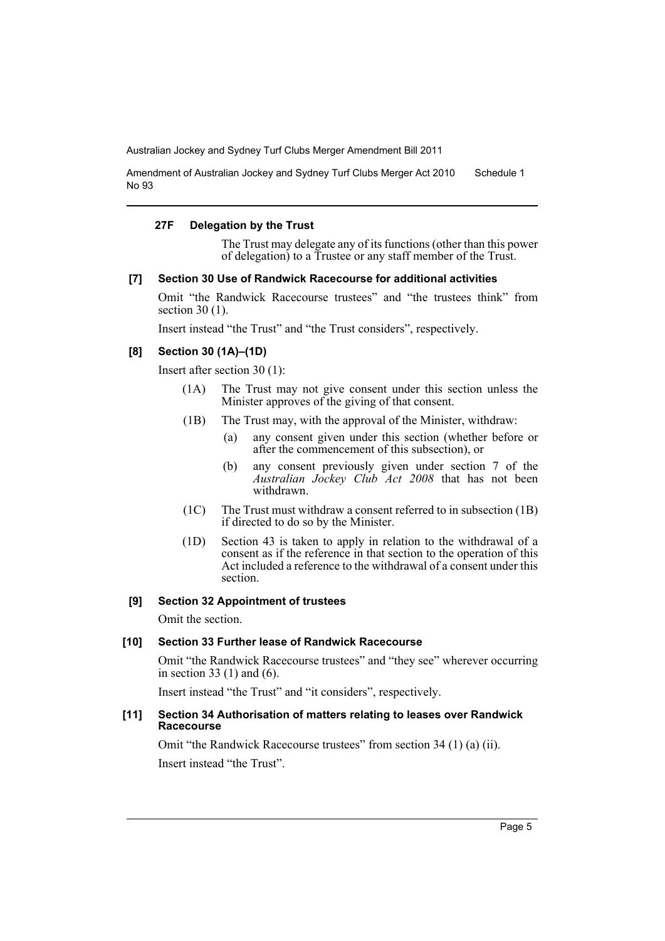Amendment of Australian Jockey and Sydney Turf Clubs Merger Act 2010 No 93 Schedule 1

#### **27F Delegation by the Trust**

The Trust may delegate any of its functions (other than this power of delegation) to a Trustee or any staff member of the Trust.

#### **[7] Section 30 Use of Randwick Racecourse for additional activities**

Omit "the Randwick Racecourse trustees" and "the trustees think" from section 30 (1).

Insert instead "the Trust" and "the Trust considers", respectively.

## **[8] Section 30 (1A)–(1D)**

Insert after section 30 (1):

- (1A) The Trust may not give consent under this section unless the Minister approves of the giving of that consent.
- (1B) The Trust may, with the approval of the Minister, withdraw:
	- (a) any consent given under this section (whether before or after the commencement of this subsection), or
	- (b) any consent previously given under section 7 of the *Australian Jockey Club Act 2008* that has not been withdrawn.
- (1C) The Trust must withdraw a consent referred to in subsection (1B) if directed to do so by the Minister.
- (1D) Section 43 is taken to apply in relation to the withdrawal of a consent as if the reference in that section to the operation of this Act included a reference to the withdrawal of a consent under this section.

#### **[9] Section 32 Appointment of trustees**

Omit the section.

# **[10] Section 33 Further lease of Randwick Racecourse**

Omit "the Randwick Racecourse trustees" and "they see" wherever occurring in section 33 (1) and (6).

Insert instead "the Trust" and "it considers", respectively.

#### **[11] Section 34 Authorisation of matters relating to leases over Randwick Racecourse**

Omit "the Randwick Racecourse trustees" from section 34 (1) (a) (ii). Insert instead "the Trust".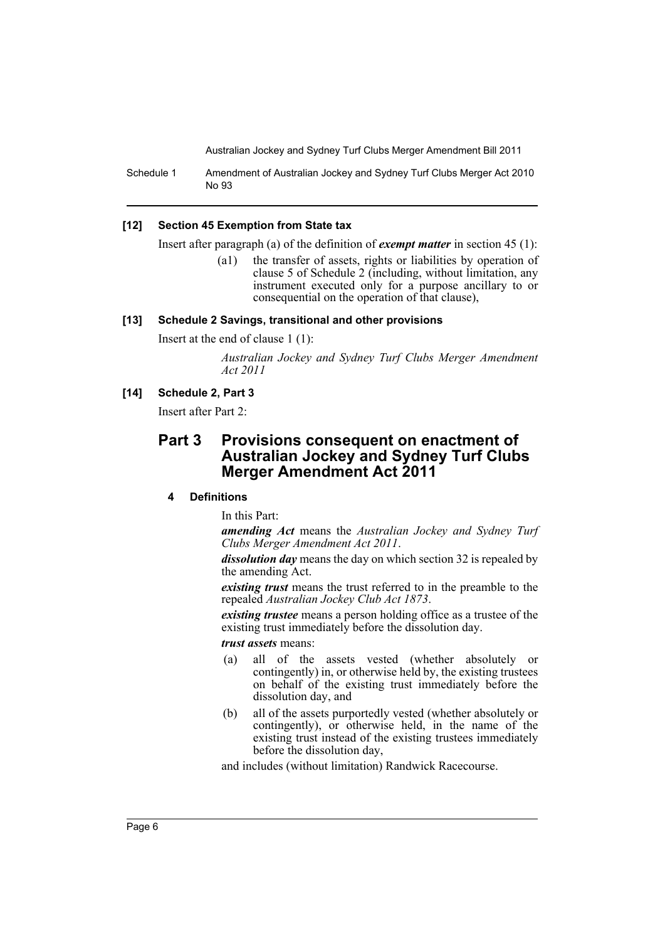Schedule 1 Amendment of Australian Jockey and Sydney Turf Clubs Merger Act 2010 No 93

#### **[12] Section 45 Exemption from State tax**

Insert after paragraph (a) of the definition of *exempt matter* in section 45 (1):

(a1) the transfer of assets, rights or liabilities by operation of clause 5 of Schedule 2 (including, without limitation, any instrument executed only for a purpose ancillary to or consequential on the operation of that clause),

#### **[13] Schedule 2 Savings, transitional and other provisions**

Insert at the end of clause 1 (1):

*Australian Jockey and Sydney Turf Clubs Merger Amendment Act 2011*

#### **[14] Schedule 2, Part 3**

Insert after Part 2:

# **Part 3 Provisions consequent on enactment of Australian Jockey and Sydney Turf Clubs Merger Amendment Act 2011**

# **4 Definitions**

In this Part:

*amending Act* means the *Australian Jockey and Sydney Turf Clubs Merger Amendment Act 2011*.

*dissolution day* means the day on which section 32 is repealed by the amending Act.

*existing trust* means the trust referred to in the preamble to the repealed *Australian Jockey Club Act 1873*.

*existing trustee* means a person holding office as a trustee of the existing trust immediately before the dissolution day.

#### *trust assets* means:

- (a) all of the assets vested (whether absolutely or contingently) in, or otherwise held by, the existing trustees on behalf of the existing trust immediately before the dissolution day, and
- (b) all of the assets purportedly vested (whether absolutely or contingently), or otherwise held, in the name of the existing trust instead of the existing trustees immediately before the dissolution day,

and includes (without limitation) Randwick Racecourse.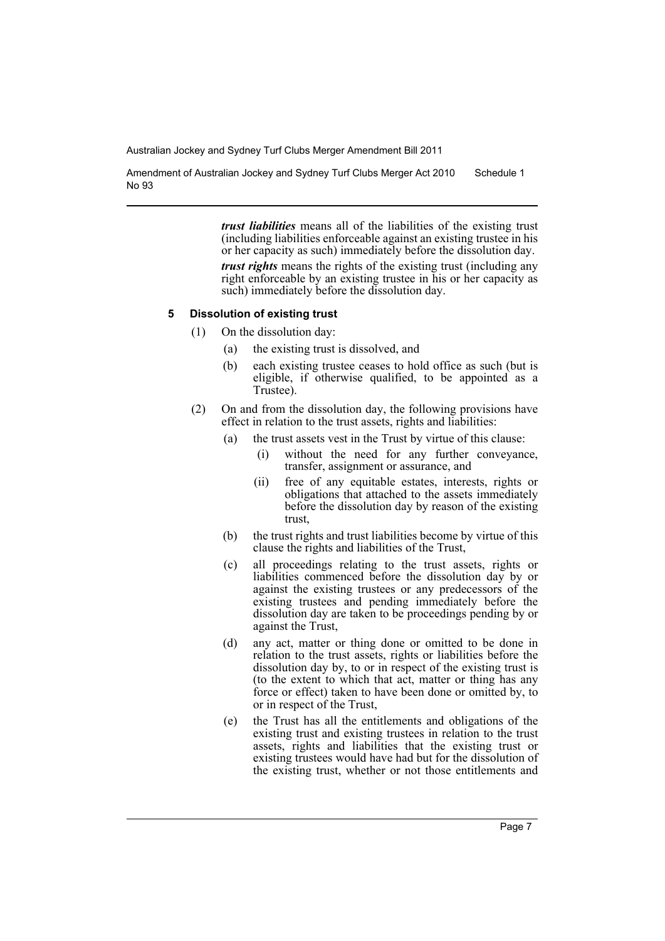Amendment of Australian Jockey and Sydney Turf Clubs Merger Act 2010 No 93 Schedule 1

> *trust liabilities* means all of the liabilities of the existing trust (including liabilities enforceable against an existing trustee in his or her capacity as such) immediately before the dissolution day. *trust rights* means the rights of the existing trust (including any right enforceable by an existing trustee in his or her capacity as such) immediately before the dissolution day.

#### **5 Dissolution of existing trust**

- (1) On the dissolution day:
	- (a) the existing trust is dissolved, and
	- (b) each existing trustee ceases to hold office as such (but is eligible, if otherwise qualified, to be appointed as a Trustee).
- (2) On and from the dissolution day, the following provisions have effect in relation to the trust assets, rights and liabilities:
	- (a) the trust assets vest in the Trust by virtue of this clause:
		- (i) without the need for any further conveyance, transfer, assignment or assurance, and
		- (ii) free of any equitable estates, interests, rights or obligations that attached to the assets immediately before the dissolution day by reason of the existing trust,
	- (b) the trust rights and trust liabilities become by virtue of this clause the rights and liabilities of the Trust,
	- (c) all proceedings relating to the trust assets, rights or liabilities commenced before the dissolution day by or against the existing trustees or any predecessors of the existing trustees and pending immediately before the dissolution day are taken to be proceedings pending by or against the Trust,
	- (d) any act, matter or thing done or omitted to be done in relation to the trust assets, rights or liabilities before the dissolution day by, to or in respect of the existing trust is (to the extent to which that act, matter or thing has any force or effect) taken to have been done or omitted by, to or in respect of the Trust,
	- (e) the Trust has all the entitlements and obligations of the existing trust and existing trustees in relation to the trust assets, rights and liabilities that the existing trust or existing trustees would have had but for the dissolution of the existing trust, whether or not those entitlements and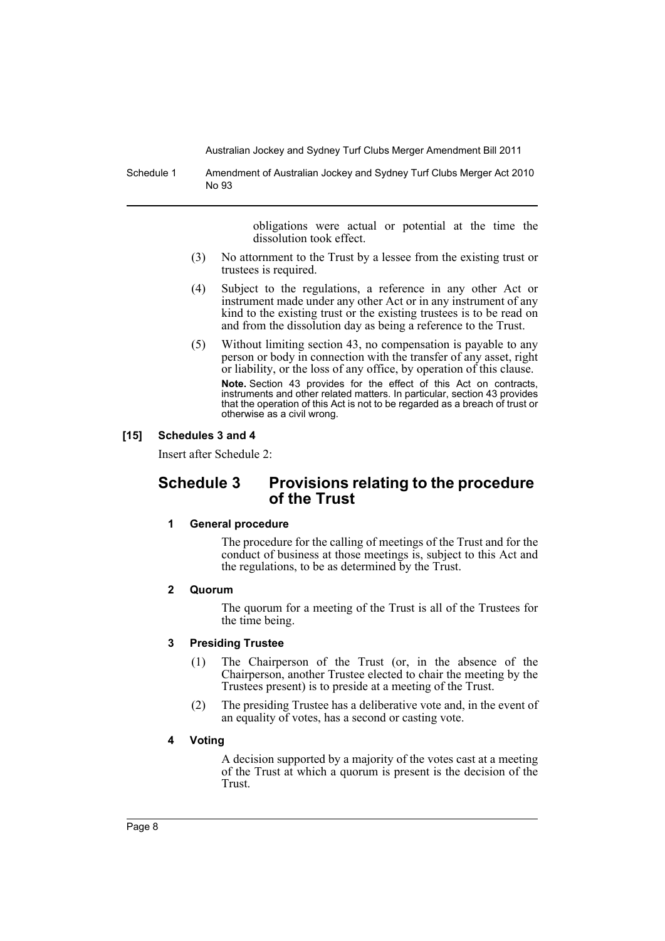Schedule 1 Amendment of Australian Jockey and Sydney Turf Clubs Merger Act 2010 No 93

> obligations were actual or potential at the time the dissolution took effect.

- (3) No attornment to the Trust by a lessee from the existing trust or trustees is required.
- (4) Subject to the regulations, a reference in any other Act or instrument made under any other Act or in any instrument of any kind to the existing trust or the existing trustees is to be read on and from the dissolution day as being a reference to the Trust.
- (5) Without limiting section 43, no compensation is payable to any person or body in connection with the transfer of any asset, right or liability, or the loss of any office, by operation of this clause. **Note.** Section 43 provides for the effect of this Act on contracts, instruments and other related matters. In particular, section 43 provides that the operation of this Act is not to be regarded as a breach of trust or otherwise as a civil wrong.

## **[15] Schedules 3 and 4**

Insert after Schedule 2:

# **Schedule 3 Provisions relating to the procedure of the Trust**

#### **1 General procedure**

The procedure for the calling of meetings of the Trust and for the conduct of business at those meetings is, subject to this Act and the regulations, to be as determined by the Trust.

## **2 Quorum**

The quorum for a meeting of the Trust is all of the Trustees for the time being.

## **3 Presiding Trustee**

- (1) The Chairperson of the Trust (or, in the absence of the Chairperson, another Trustee elected to chair the meeting by the Trustees present) is to preside at a meeting of the Trust.
- (2) The presiding Trustee has a deliberative vote and, in the event of an equality of votes, has a second or casting vote.

#### **4 Voting**

A decision supported by a majority of the votes cast at a meeting of the Trust at which a quorum is present is the decision of the Trust.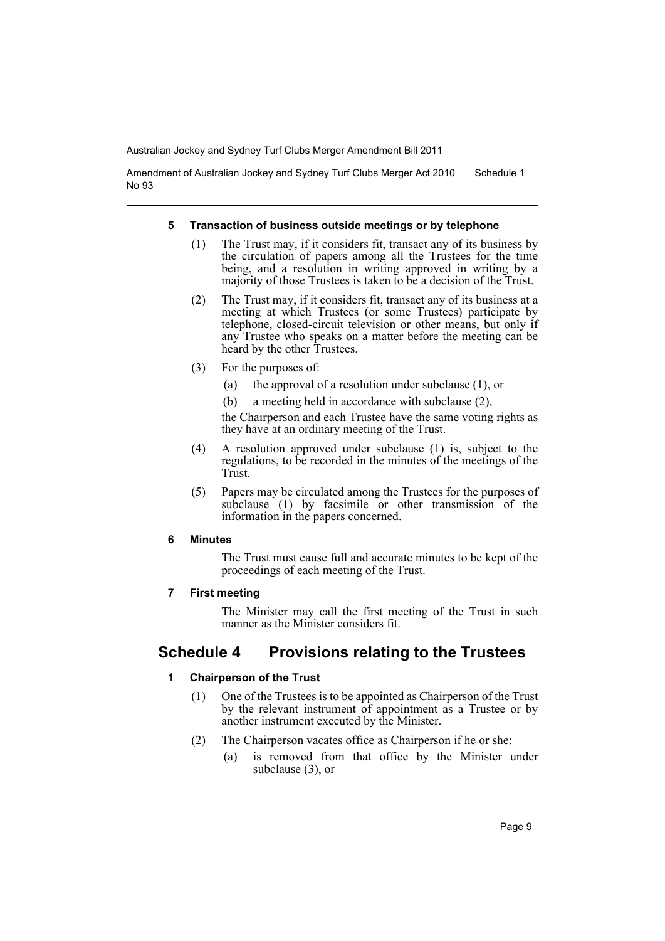Amendment of Australian Jockey and Sydney Turf Clubs Merger Act 2010 No 93 Schedule 1

#### **5 Transaction of business outside meetings or by telephone**

- (1) The Trust may, if it considers fit, transact any of its business by the circulation of papers among all the Trustees for the time being, and a resolution in writing approved in writing by a majority of those Trustees is taken to be a decision of the Trust.
- (2) The Trust may, if it considers fit, transact any of its business at a meeting at which Trustees (or some Trustees) participate by telephone, closed-circuit television or other means, but only if any Trustee who speaks on a matter before the meeting can be heard by the other Trustees.
- (3) For the purposes of:
	- (a) the approval of a resolution under subclause (1), or
	- (b) a meeting held in accordance with subclause (2),

the Chairperson and each Trustee have the same voting rights as they have at an ordinary meeting of the Trust.

- (4) A resolution approved under subclause (1) is, subject to the regulations, to be recorded in the minutes of the meetings of the Trust.
- (5) Papers may be circulated among the Trustees for the purposes of subclause (1) by facsimile or other transmission of the information in the papers concerned.

#### **6 Minutes**

The Trust must cause full and accurate minutes to be kept of the proceedings of each meeting of the Trust.

#### **7 First meeting**

The Minister may call the first meeting of the Trust in such manner as the Minister considers fit.

# **Schedule 4 Provisions relating to the Trustees**

## **1 Chairperson of the Trust**

- (1) One of the Trustees is to be appointed as Chairperson of the Trust by the relevant instrument of appointment as a Trustee or by another instrument executed by the Minister.
- (2) The Chairperson vacates office as Chairperson if he or she:
	- (a) is removed from that office by the Minister under subclause (3), or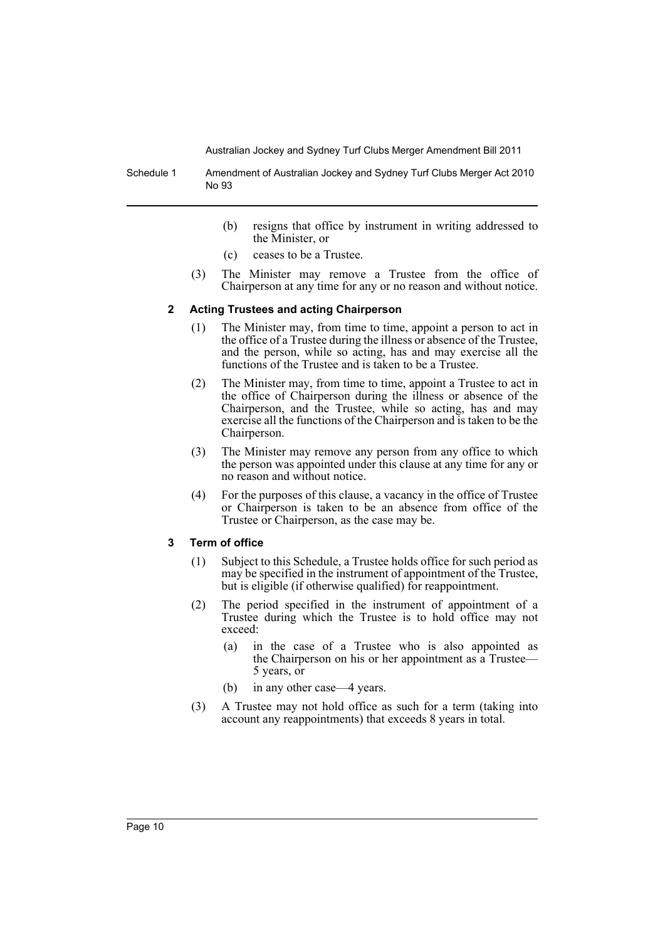Schedule 1 Amendment of Australian Jockey and Sydney Turf Clubs Merger Act 2010 No 93

- (b) resigns that office by instrument in writing addressed to the Minister, or
- (c) ceases to be a Trustee.
- (3) The Minister may remove a Trustee from the office of Chairperson at any time for any or no reason and without notice.

#### **2 Acting Trustees and acting Chairperson**

- (1) The Minister may, from time to time, appoint a person to act in the office of a Trustee during the illness or absence of the Trustee, and the person, while so acting, has and may exercise all the functions of the Trustee and is taken to be a Trustee.
- (2) The Minister may, from time to time, appoint a Trustee to act in the office of Chairperson during the illness or absence of the Chairperson, and the Trustee, while so acting, has and may exercise all the functions of the Chairperson and is taken to be the Chairperson.
- (3) The Minister may remove any person from any office to which the person was appointed under this clause at any time for any or no reason and without notice.
- (4) For the purposes of this clause, a vacancy in the office of Trustee or Chairperson is taken to be an absence from office of the Trustee or Chairperson, as the case may be.

#### **3 Term of office**

- (1) Subject to this Schedule, a Trustee holds office for such period as may be specified in the instrument of appointment of the Trustee, but is eligible (if otherwise qualified) for reappointment.
- (2) The period specified in the instrument of appointment of a Trustee during which the Trustee is to hold office may not exceed:
	- (a) in the case of a Trustee who is also appointed as the Chairperson on his or her appointment as a Trustee— 5 years, or
	- (b) in any other case—4 years.
- (3) A Trustee may not hold office as such for a term (taking into account any reappointments) that exceeds 8 years in total.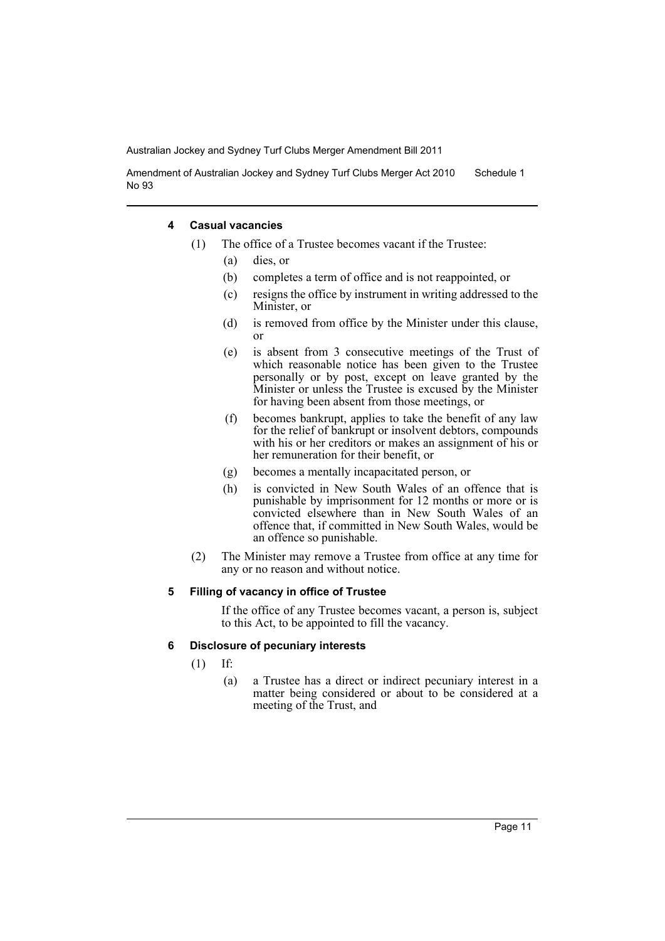Amendment of Australian Jockey and Sydney Turf Clubs Merger Act 2010 No 93 Schedule 1

#### **4 Casual vacancies**

- (1) The office of a Trustee becomes vacant if the Trustee:
	- (a) dies, or
	- (b) completes a term of office and is not reappointed, or
	- (c) resigns the office by instrument in writing addressed to the Minister, or
	- (d) is removed from office by the Minister under this clause, or
	- (e) is absent from 3 consecutive meetings of the Trust of which reasonable notice has been given to the Trustee personally or by post, except on leave granted by the Minister or unless the Trustee is excused by the Minister for having been absent from those meetings, or
	- (f) becomes bankrupt, applies to take the benefit of any law for the relief of bankrupt or insolvent debtors, compounds with his or her creditors or makes an assignment of his or her remuneration for their benefit, or
	- (g) becomes a mentally incapacitated person, or
	- (h) is convicted in New South Wales of an offence that is punishable by imprisonment for 12 months or more or is convicted elsewhere than in New South Wales of an offence that, if committed in New South Wales, would be an offence so punishable.
- (2) The Minister may remove a Trustee from office at any time for any or no reason and without notice.

#### **5 Filling of vacancy in office of Trustee**

If the office of any Trustee becomes vacant, a person is, subject to this Act, to be appointed to fill the vacancy.

#### **6 Disclosure of pecuniary interests**

- (1) If:
	- (a) a Trustee has a direct or indirect pecuniary interest in a matter being considered or about to be considered at a meeting of the Trust, and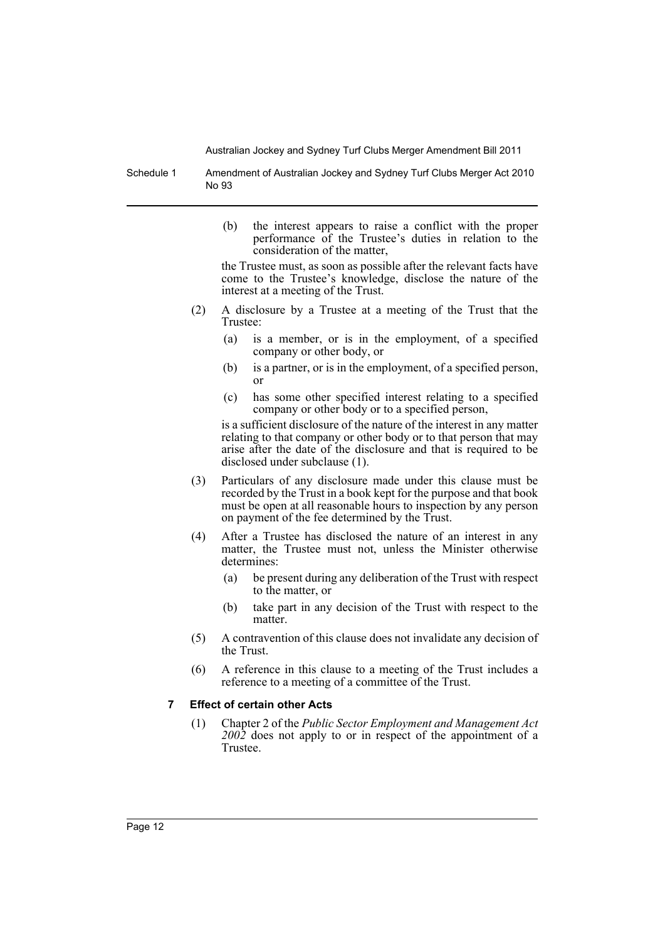Schedule 1 Amendment of Australian Jockey and Sydney Turf Clubs Merger Act 2010 No 93

> (b) the interest appears to raise a conflict with the proper performance of the Trustee's duties in relation to the consideration of the matter,

> the Trustee must, as soon as possible after the relevant facts have come to the Trustee's knowledge, disclose the nature of the interest at a meeting of the Trust.

- (2) A disclosure by a Trustee at a meeting of the Trust that the Trustee:
	- (a) is a member, or is in the employment, of a specified company or other body, or
	- (b) is a partner, or is in the employment, of a specified person, or
	- (c) has some other specified interest relating to a specified company or other body or to a specified person,

is a sufficient disclosure of the nature of the interest in any matter relating to that company or other body or to that person that may arise after the date of the disclosure and that is required to be disclosed under subclause (1).

- (3) Particulars of any disclosure made under this clause must be recorded by the Trust in a book kept for the purpose and that book must be open at all reasonable hours to inspection by any person on payment of the fee determined by the Trust.
- (4) After a Trustee has disclosed the nature of an interest in any matter, the Trustee must not, unless the Minister otherwise determines:
	- (a) be present during any deliberation of the Trust with respect to the matter, or
	- (b) take part in any decision of the Trust with respect to the matter.
- (5) A contravention of this clause does not invalidate any decision of the Trust.
- (6) A reference in this clause to a meeting of the Trust includes a reference to a meeting of a committee of the Trust.

## **7 Effect of certain other Acts**

(1) Chapter 2 of the *Public Sector Employment and Management Act 2002* does not apply to or in respect of the appointment of a Trustee.